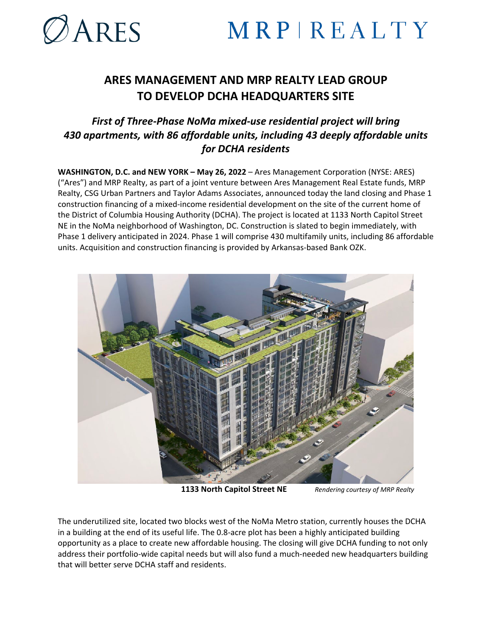

# MRPIREALTY

## **ARES MANAGEMENT AND MRP REALTY LEAD GROUP TO DEVELOP DCHA HEADQUARTERS SITE**

### *First of Three-Phase NoMa mixed-use residential project will bring 430 apartments, with 86 affordable units, including 43 deeply affordable units for DCHA residents*

**WASHINGTON, D.C. and NEW YORK – May 26, 2022** – Ares Management Corporation (NYSE: ARES) ("Ares") and MRP Realty, as part of a joint venture between Ares Management Real Estate funds, MRP Realty, CSG Urban Partners and Taylor Adams Associates, announced today the land closing and Phase 1 construction financing of a mixed-income residential development on the site of the current home of the District of Columbia Housing Authority (DCHA). The project is located at 1133 North Capitol Street NE in the NoMa neighborhood of Washington, DC. Construction is slated to begin immediately, with Phase 1 delivery anticipated in 2024. Phase 1 will comprise 430 multifamily units, including 86 affordable units. Acquisition and construction financing is provided by Arkansas-based Bank OZK.



 **1133 North Capitol Street NE** *Rendering courtesy of MRP Realty*

The underutilized site, located two blocks west of the NoMa Metro station, currently houses the DCHA in a building at the end of its useful life. The 0.8-acre plot has been a highly anticipated building opportunity as a place to create new affordable housing. The closing will give DCHA funding to not only address their portfolio-wide capital needs but will also fund a much-needed new headquarters building that will better serve DCHA staff and residents.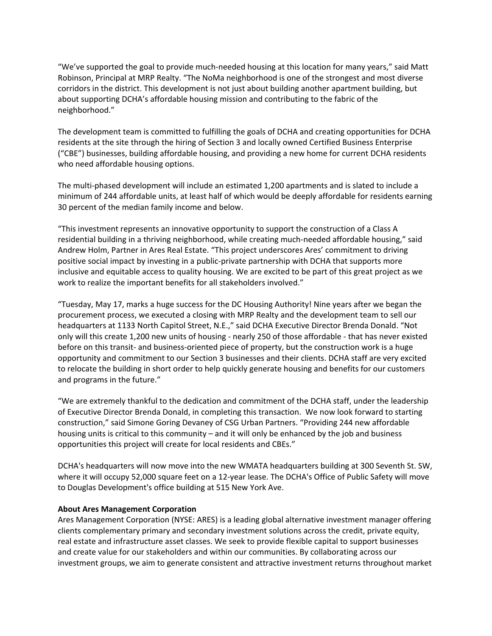"We've supported the goal to provide much-needed housing at this location for many years," said Matt Robinson, Principal at MRP Realty. "The NoMa neighborhood is one of the strongest and most diverse corridors in the district. This development is not just about building another apartment building, but about supporting DCHA's affordable housing mission and contributing to the fabric of the neighborhood."

The development team is committed to fulfilling the goals of DCHA and creating opportunities for DCHA residents at the site through the hiring of Section 3 and locally owned Certified Business Enterprise ("CBE") businesses, building affordable housing, and providing a new home for current DCHA residents who need affordable housing options.

The multi-phased development will include an estimated 1,200 apartments and is slated to include a minimum of 244 affordable units, at least half of which would be deeply affordable for residents earning 30 percent of the median family income and below.

"This investment represents an innovative opportunity to support the construction of a Class A residential building in a thriving neighborhood, while creating much-needed affordable housing," said Andrew Holm, Partner in Ares Real Estate. "This project underscores Ares' commitment to driving positive social impact by investing in a public-private partnership with DCHA that supports more inclusive and equitable access to quality housing. We are excited to be part of this great project as we work to realize the important benefits for all stakeholders involved."

"Tuesday, May 17, marks a huge success for the DC Housing Authority! Nine years after we began the procurement process, we executed a closing with MRP Realty and the development team to sell our headquarters at 1133 North Capitol Street, N.E.," said DCHA Executive Director Brenda Donald. "Not only will this create 1,200 new units of housing - nearly 250 of those affordable - that has never existed before on this transit- and business-oriented piece of property, but the construction work is a huge opportunity and commitment to our Section 3 businesses and their clients. DCHA staff are very excited to relocate the building in short order to help quickly generate housing and benefits for our customers and programs in the future."

"We are extremely thankful to the dedication and commitment of the DCHA staff, under the leadership of Executive Director Brenda Donald, in completing this transaction. We now look forward to starting construction," said Simone Goring Devaney of CSG Urban Partners. "Providing 244 new affordable housing units is critical to this community – and it will only be enhanced by the job and business opportunities this project will create for local residents and CBEs."

DCHA's headquarters will now move into the new WMATA headquarters building at 300 Seventh St. SW, where it will occupy 52,000 square feet on a 12-year lease. The DCHA's Office of Public Safety will move to Douglas Development's office building at 515 New York Ave.

#### **About Ares Management Corporation**

Ares Management Corporation (NYSE: ARES) is a leading global alternative investment manager offering clients complementary primary and secondary investment solutions across the credit, private equity, real estate and infrastructure asset classes. We seek to provide flexible capital to support businesses and create value for our stakeholders and within our communities. By collaborating across our investment groups, we aim to generate consistent and attractive investment returns throughout market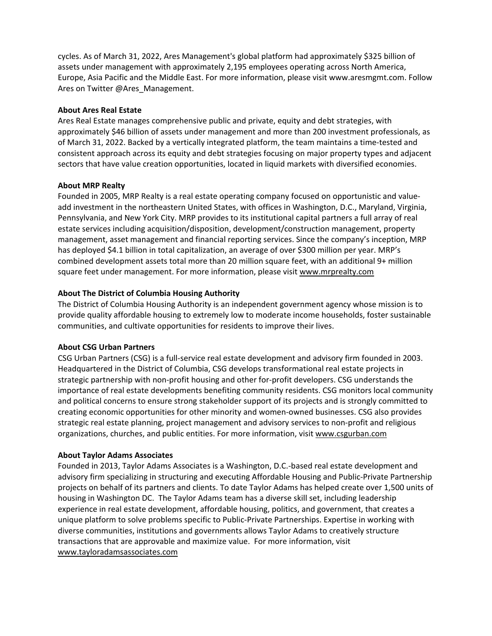cycles. As of March 31, 2022, Ares Management's global platform had approximately \$325 billion of assets under management with approximately 2,195 employees operating across North America, Europe, Asia Pacific and the Middle East. For more information, please visit www.aresmgmt.com. Follow Ares on Twitter @Ares\_Management.

#### **About Ares Real Estate**

Ares Real Estate manages comprehensive public and private, equity and debt strategies, with approximately \$46 billion of assets under management and more than 200 investment professionals, as of March 31, 2022. Backed by a vertically integrated platform, the team maintains a time-tested and consistent approach across its equity and debt strategies focusing on major property types and adjacent sectors that have value creation opportunities, located in liquid markets with diversified economies.

#### **About MRP Realty**

Founded in 2005, MRP Realty is a real estate operating company focused on opportunistic and valueadd investment in the northeastern United States, with offices in Washington, D.C., Maryland, Virginia, Pennsylvania, and New York City. MRP provides to its institutional capital partners a full array of real estate services including acquisition/disposition, development/construction management, property management, asset management and financial reporting services. Since the company's inception, MRP has deployed \$4.1 billion in total capitalization, an average of over \$300 million per year. MRP's combined development assets total more than 20 million square feet, with an additional 9+ million square feet under management. For more information, please visit [www.mrprealty.com](http://www.mrprealty.com/)

#### **About The District of Columbia Housing Authority**

The District of Columbia Housing Authority is an independent government agency whose mission is to provide quality affordable housing to extremely low to moderate income households, foster sustainable communities, and cultivate opportunities for residents to improve their lives.

#### **About CSG Urban Partners**

CSG Urban Partners (CSG) is a full-service real estate development and advisory firm founded in 2003. Headquartered in the District of Columbia, CSG develops transformational real estate projects in strategic partnership with non-profit housing and other for-profit developers. CSG understands the importance of real estate developments benefiting community residents. CSG monitors local community and political concerns to ensure strong stakeholder support of its projects and is strongly committed to creating economic opportunities for other minority and women-owned businesses. CSG also provides strategic real estate planning, project management and advisory services to non-profit and religious organizations, churches, and public entities. For more information, visit [www.csgurban.com](http://www.csgurban.com/)

#### **About Taylor Adams Associates**

Founded in 2013, Taylor Adams Associates is a Washington, D.C.-based real estate development and advisory firm specializing in structuring and executing Affordable Housing and Public-Private Partnership projects on behalf of its partners and clients. To date Taylor Adams has helped create over 1,500 units of housing in Washington DC. The Taylor Adams team has a diverse skill set, including leadership experience in real estate development, affordable housing, politics, and government, that creates a unique platform to solve problems specific to Public-Private Partnerships. Expertise in working with diverse communities, institutions and governments allows Taylor Adams to creatively structure transactions that are approvable and maximize value. For more information, visit [www.tayloradamsassociates.com](http://www.tayloradamsassociates.com/)